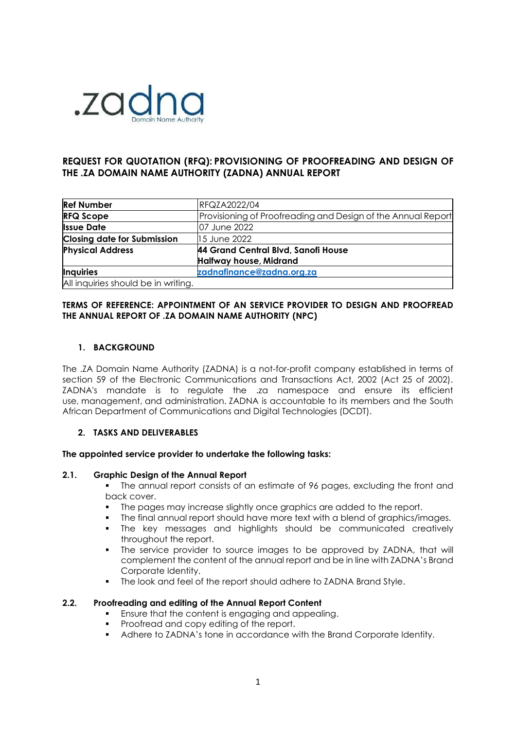

# **REQUEST FOR QUOTATION (RFQ): PROVISIONING OF PROOFREADING AND DESIGN OF THE .ZA DOMAIN NAME AUTHORITY (ZADNA) ANNUAL REPORT**

| <b>Ref Number</b>                   | <b>RFQZA2022/04</b>                                          |
|-------------------------------------|--------------------------------------------------------------|
| <b>RFQ Scope</b>                    | Provisioning of Proofreading and Design of the Annual Report |
| <b>Issue Date</b>                   | 07 June 2022                                                 |
| <b>Closing date for Submission</b>  | 15 June 2022                                                 |
| <b>Physical Address</b>             | 44 Grand Central Blvd, Sanofi House                          |
|                                     | <b>Halfway house, Midrand</b>                                |
| <b>Inquiries</b>                    | zadnafinance@zadna.org.za                                    |
| All inquiries should be in writing. |                                                              |

## **TERMS OF REFERENCE: APPOINTMENT OF AN SERVICE PROVIDER TO DESIGN AND PROOFREAD THE ANNUAL REPORT OF .ZA DOMAIN NAME AUTHORITY (NPC)**

## **1. BACKGROUND**

The .ZA Domain Name Authority (ZADNA) is a not-for-profit company established in terms of section 59 of the Electronic Communications and Transactions Act, 2002 (Act 25 of 2002). ZADNA's mandate is to regulate the .za namespace and ensure its efficient use, management, and administration. ZADNA is accountable to its members and the South African Department of Communications and Digital Technologies (DCDT).

## **2. TASKS AND DELIVERABLES**

## **The appointed service provider to undertake the following tasks:**

## **2.1. Graphic Design of the Annual Report**

■ The annual report consists of an estimate of 96 pages, excluding the front and back cover.

- The pages may increase slightly once graphics are added to the report.
- The final annual report should have more text with a blend of graphics/images.
- The key messages and highlights should be communicated creatively throughout the report.
- The service provider to source images to be approved by ZADNA, that will complement the content of the annual report and be in line with ZADNA's Brand Corporate Identity.
- The look and feel of the report should adhere to ZADNA Brand Style.

## **2.2. Proofreading and editing of the Annual Report Content**

- **Ensure that the content is engaging and appealing.**
- Proofread and copy editing of the report.
- Adhere to ZADNA's tone in accordance with the Brand Corporate Identity.